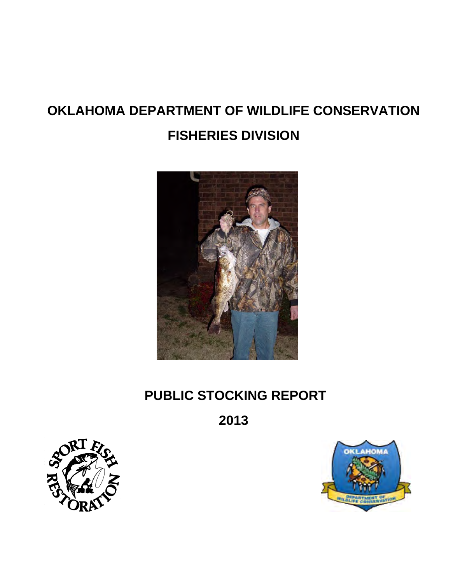# **OKLAHOMA DEPARTMENT OF WILDLIFE CONSERVATION FISHERIES DIVISION**



# **PUBLIC STOCKING REPORT**

**2013** 



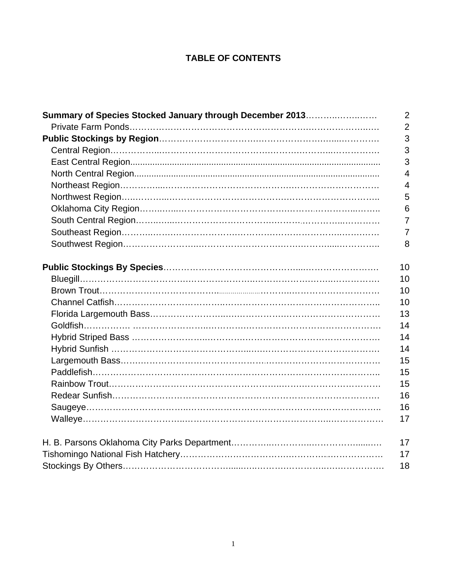# **TABLE OF CONTENTS**

| Summary of Species Stocked January through December 2013 | $\overline{2}$ |
|----------------------------------------------------------|----------------|
|                                                          | $\overline{2}$ |
|                                                          | 3              |
|                                                          | 3              |
|                                                          | 3              |
|                                                          | $\overline{4}$ |
|                                                          | $\overline{4}$ |
|                                                          | 5              |
|                                                          | 6              |
|                                                          | $\overline{7}$ |
|                                                          | $\overline{7}$ |
|                                                          | 8              |
|                                                          | 10             |
|                                                          | 10             |
|                                                          | 10             |
|                                                          | 10             |
|                                                          | 13             |
|                                                          | 14             |
|                                                          | 14             |
|                                                          | 14             |
|                                                          | 15             |
|                                                          | 15             |
|                                                          | 15             |
|                                                          | 16             |
|                                                          | 16             |
|                                                          | 17             |
|                                                          | 17             |
|                                                          | 17             |
|                                                          | 18             |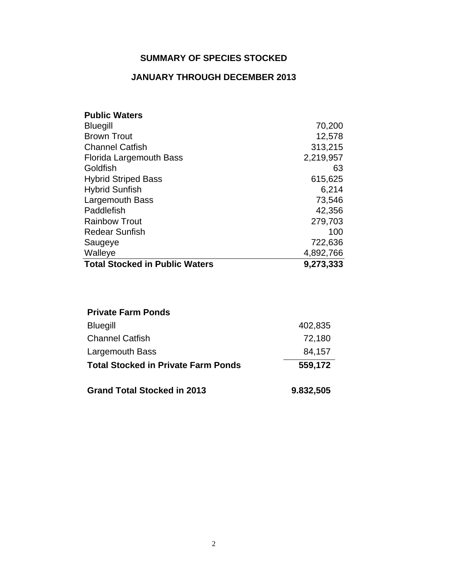# **SUMMARY OF SPECIES STOCKED**

# **JANUARY THROUGH DECEMBER 2013**

| <b>Public Waters</b>                  |           |
|---------------------------------------|-----------|
| <b>Bluegill</b>                       | 70,200    |
| <b>Brown Trout</b>                    | 12,578    |
| <b>Channel Catfish</b>                | 313,215   |
| Florida Largemouth Bass               | 2,219,957 |
| Goldfish                              | 63        |
| <b>Hybrid Striped Bass</b>            | 615,625   |
| <b>Hybrid Sunfish</b>                 | 6,214     |
| <b>Largemouth Bass</b>                | 73,546    |
| Paddlefish                            | 42,356    |
| <b>Rainbow Trout</b>                  | 279,703   |
| <b>Redear Sunfish</b>                 | 100       |
| Saugeye                               | 722,636   |
| Walleye                               | 4,892,766 |
| <b>Total Stocked in Public Waters</b> | 9,273,333 |

| <b>Private Farm Ponds</b>                  |           |
|--------------------------------------------|-----------|
| <b>Bluegill</b>                            | 402,835   |
| <b>Channel Catfish</b>                     | 72,180    |
| Largemouth Bass                            | 84,157    |
| <b>Total Stocked in Private Farm Ponds</b> | 559,172   |
| <b>Grand Total Stocked in 2013</b>         | 9.832,505 |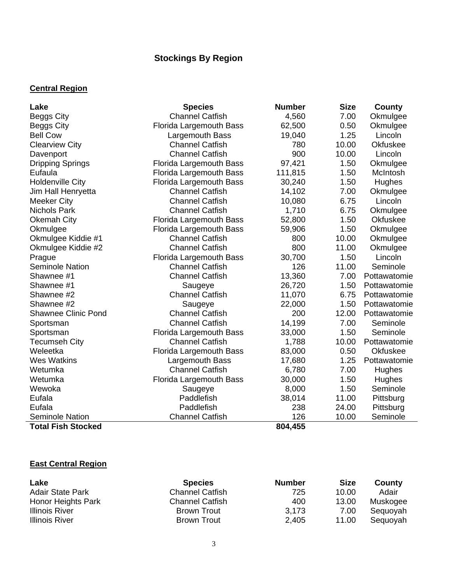# **Stockings By Region**

## **Central Region**

| Lake                       | <b>Species</b>                 | <b>Number</b> | <b>Size</b> | County       |
|----------------------------|--------------------------------|---------------|-------------|--------------|
| <b>Beggs City</b>          | <b>Channel Catfish</b>         | 4,560         | 7.00        | Okmulgee     |
| Beggs City                 | Florida Largemouth Bass        | 62,500        | 0.50        | Okmulgee     |
| <b>Bell Cow</b>            | Largemouth Bass                | 19,040        | 1.25        | Lincoln      |
| <b>Clearview City</b>      | <b>Channel Catfish</b>         | 780           | 10.00       | Okfuskee     |
| Davenport                  | <b>Channel Catfish</b>         | 900           | 10.00       | Lincoln      |
| <b>Dripping Springs</b>    | Florida Largemouth Bass        | 97,421        | 1.50        | Okmulgee     |
| Eufaula                    | Florida Largemouth Bass        | 111,815       | 1.50        | McIntosh     |
| <b>Holdenville City</b>    | Florida Largemouth Bass        | 30,240        | 1.50        | Hughes       |
| Jim Hall Henryetta         | <b>Channel Catfish</b>         | 14,102        | 7.00        | Okmulgee     |
| <b>Meeker City</b>         | <b>Channel Catfish</b>         | 10,080        | 6.75        | Lincoln      |
| <b>Nichols Park</b>        | <b>Channel Catfish</b>         | 1,710         | 6.75        | Okmulgee     |
| Okemah City                | <b>Florida Largemouth Bass</b> | 52,800        | 1.50        | Okfuskee     |
| Okmulgee                   | <b>Florida Largemouth Bass</b> | 59,906        | 1.50        | Okmulgee     |
| Okmulgee Kiddie #1         | <b>Channel Catfish</b>         | 800           | 10.00       | Okmulgee     |
| Okmulgee Kiddie #2         | <b>Channel Catfish</b>         | 800           | 11.00       | Okmulgee     |
| Prague                     | Florida Largemouth Bass        | 30,700        | 1.50        | Lincoln      |
| <b>Seminole Nation</b>     | <b>Channel Catfish</b>         | 126           | 11.00       | Seminole     |
| Shawnee #1                 | <b>Channel Catfish</b>         | 13,360        | 7.00        | Pottawatomie |
| Shawnee #1                 | Saugeye                        | 26,720        | 1.50        | Pottawatomie |
| Shawnee #2                 | <b>Channel Catfish</b>         | 11,070        | 6.75        | Pottawatomie |
| Shawnee #2                 | Saugeye                        | 22,000        | 1.50        | Pottawatomie |
| <b>Shawnee Clinic Pond</b> | <b>Channel Catfish</b>         | 200           | 12.00       | Pottawatomie |
| Sportsman                  | <b>Channel Catfish</b>         | 14,199        | 7.00        | Seminole     |
| Sportsman                  | Florida Largemouth Bass        | 33,000        | 1.50        | Seminole     |
| <b>Tecumseh City</b>       | <b>Channel Catfish</b>         | 1,788         | 10.00       | Pottawatomie |
| Weleetka                   | <b>Florida Largemouth Bass</b> | 83,000        | 0.50        | Okfuskee     |
| <b>Wes Watkins</b>         | Largemouth Bass                | 17,680        | 1.25        | Pottawatomie |
| Wetumka                    | <b>Channel Catfish</b>         | 6,780         | 7.00        | Hughes       |
| Wetumka                    | Florida Largemouth Bass        | 30,000        | 1.50        | Hughes       |
| Wewoka                     | Saugeye                        | 8,000         | 1.50        | Seminole     |
| Eufala                     | Paddlefish                     | 38,014        | 11.00       | Pittsburg    |
| Eufala                     | Paddlefish                     | 238           | 24.00       | Pittsburg    |
| <b>Seminole Nation</b>     | <b>Channel Catfish</b>         | 126           | 10.00       | Seminole     |
| <b>Total Fish Stocked</b>  |                                | 804,455       |             |              |

# **East Central Region**

| Lake                    | <b>Species</b>         | <b>Number</b> | <b>Size</b> | County   |
|-------------------------|------------------------|---------------|-------------|----------|
| <b>Adair State Park</b> | <b>Channel Catfish</b> | 725           | 10.00       | Adair    |
| Honor Heights Park      | <b>Channel Catfish</b> | 400           | 13.00       | Muskogee |
| <b>Illinois River</b>   | Brown Trout            | 3.173         | 7.00        | Sequoyah |
| <b>Illinois River</b>   | Brown Trout            | 2,405         | 11.00       | Sequoyah |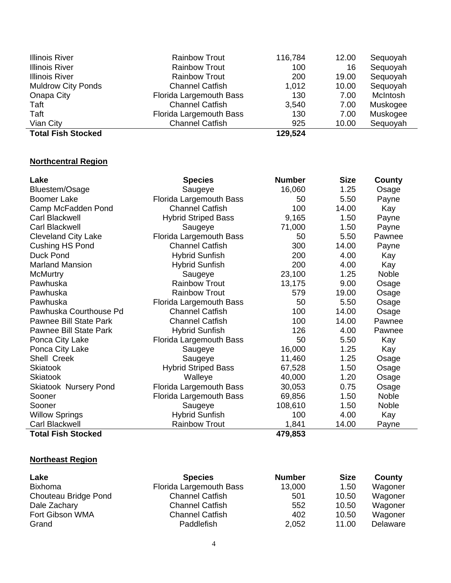| <b>Illinois River</b>     | <b>Rainbow Trout</b>    | 116,784 | 12.00 | Sequoyah |
|---------------------------|-------------------------|---------|-------|----------|
| <b>Illinois River</b>     | <b>Rainbow Trout</b>    | 100     | 16    | Sequoyah |
| Illinois River            | <b>Rainbow Trout</b>    | 200     | 19.00 | Sequoyah |
| <b>Muldrow City Ponds</b> | <b>Channel Catfish</b>  | 1,012   | 10.00 | Sequoyah |
| Onapa City                | Florida Largemouth Bass | 130     | 7.00  | McIntosh |
| Taft                      | <b>Channel Catfish</b>  | 3,540   | 7.00  | Muskogee |
| Taft                      | Florida Largemouth Bass | 130     | 7.00  | Muskogee |
| Vian City                 | <b>Channel Catfish</b>  | 925     | 10.00 | Sequoyah |
| <b>Total Fish Stocked</b> |                         | 129,524 |       |          |

# **Northcentral Region**

| Lake                          | <b>Species</b>             | <b>Number</b> | <b>Size</b> | County |
|-------------------------------|----------------------------|---------------|-------------|--------|
| Bluestem/Osage                | Saugeye                    | 16,060        | 1.25        | Osage  |
| <b>Boomer Lake</b>            | Florida Largemouth Bass    | 50            | 5.50        | Payne  |
| Camp McFadden Pond            | <b>Channel Catfish</b>     | 100           | 14.00       | Kay    |
| Carl Blackwell                | <b>Hybrid Striped Bass</b> | 9,165         | 1.50        | Payne  |
| Carl Blackwell                | Saugeye                    | 71,000        | 1.50        | Payne  |
| <b>Cleveland City Lake</b>    | Florida Largemouth Bass    | 50            | 5.50        | Pawnee |
| Cushing HS Pond               | <b>Channel Catfish</b>     | 300           | 14.00       | Payne  |
| <b>Duck Pond</b>              | <b>Hybrid Sunfish</b>      | 200           | 4.00        | Kay    |
| <b>Marland Mansion</b>        | <b>Hybrid Sunfish</b>      | 200           | 4.00        | Kay    |
| <b>McMurtry</b>               | Saugeye                    | 23,100        | 1.25        | Noble  |
| Pawhuska                      | <b>Rainbow Trout</b>       | 13,175        | 9.00        | Osage  |
| Pawhuska                      | <b>Rainbow Trout</b>       | 579           | 19.00       | Osage  |
| Pawhuska                      | Florida Largemouth Bass    | 50            | 5.50        | Osage  |
| Pawhuska Courthouse Pd        | <b>Channel Catfish</b>     | 100           | 14.00       | Osage  |
| Pawnee Bill State Park        | <b>Channel Catfish</b>     | 100           | 14.00       | Pawnee |
| <b>Pawnee Bill State Park</b> | <b>Hybrid Sunfish</b>      | 126           | 4.00        | Pawnee |
| Ponca City Lake               | Florida Largemouth Bass    | 50            | 5.50        | Kay    |
| Ponca City Lake               | Saugeye                    | 16,000        | 1.25        | Kay    |
| Shell Creek                   | Saugeye                    | 11,460        | 1.25        | Osage  |
| <b>Skiatook</b>               | <b>Hybrid Striped Bass</b> | 67,528        | 1.50        | Osage  |
| <b>Skiatook</b>               | Walleye                    | 40,000        | 1.20        | Osage  |
| <b>Skiatook Nursery Pond</b>  | Florida Largemouth Bass    | 30,053        | 0.75        | Osage  |
| Sooner                        | Florida Largemouth Bass    | 69,856        | 1.50        | Noble  |
| Sooner                        | Saugeye                    | 108,610       | 1.50        | Noble  |
| <b>Willow Springs</b>         | <b>Hybrid Sunfish</b>      | 100           | 4.00        | Kay    |
| Carl Blackwell                | <b>Rainbow Trout</b>       | 1,841         | 14.00       | Payne  |
| <b>Total Fish Stocked</b>     |                            | 479,853       |             |        |

# **Northeast Region**

| Lake                 | <b>Species</b>          | <b>Number</b> | <b>Size</b> | County   |
|----------------------|-------------------------|---------------|-------------|----------|
| <b>Bixhoma</b>       | Florida Largemouth Bass | 13,000        | 1.50        | Wagoner  |
| Chouteau Bridge Pond | <b>Channel Catfish</b>  | 501           | 10.50       | Wagoner  |
| Dale Zachary         | <b>Channel Catfish</b>  | 552           | 10.50       | Wagoner  |
| Fort Gibson WMA      | <b>Channel Catfish</b>  | 402           | 10.50       | Wagoner  |
| Grand                | Paddlefish              | 2,052         | 11.00       | Delaware |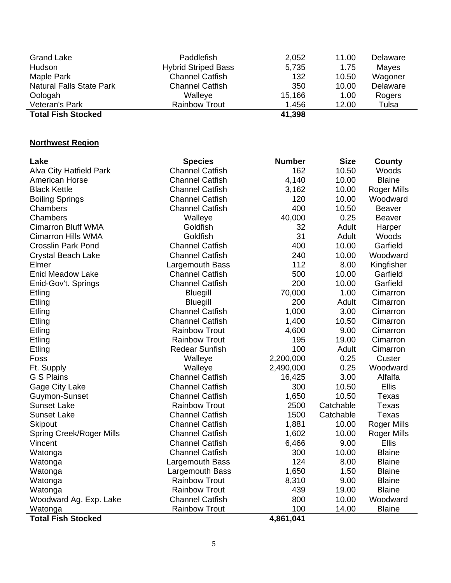| <b>Grand Lake</b>               | Paddlefish                 | 2,052  | 11.00 | Delaware |
|---------------------------------|----------------------------|--------|-------|----------|
| Hudson                          | <b>Hybrid Striped Bass</b> | 5,735  | 1.75  | Mayes    |
| Maple Park                      | <b>Channel Catfish</b>     | 132    | 10.50 | Wagoner  |
| <b>Natural Falls State Park</b> | <b>Channel Catfish</b>     | 350    | 10.00 | Delaware |
| Oologah                         | Walleye                    | 15,166 | 1.00  | Rogers   |
| Veteran's Park                  | <b>Rainbow Trout</b>       | 1,456  | 12.00 | Tulsa    |
| <b>Total Fish Stocked</b>       |                            | 41,398 |       |          |

÷.

# **Northwest Region**

| Lake                            | <b>Species</b>         | <b>Number</b> | <b>Size</b> | County             |
|---------------------------------|------------------------|---------------|-------------|--------------------|
| <b>Alva City Hatfield Park</b>  | <b>Channel Catfish</b> | 162           | 10.50       | Woods              |
| <b>American Horse</b>           | <b>Channel Catfish</b> | 4,140         | 10.00       | <b>Blaine</b>      |
| <b>Black Kettle</b>             | <b>Channel Catfish</b> | 3,162         | 10.00       | Roger Mills        |
| <b>Boiling Springs</b>          | <b>Channel Catfish</b> | 120           | 10.00       | Woodward           |
| Chambers                        | <b>Channel Catfish</b> | 400           | 10.50       | <b>Beaver</b>      |
| Chambers                        | Walleye                | 40,000        | 0.25        | <b>Beaver</b>      |
| <b>Cimarron Bluff WMA</b>       | Goldfish               | 32            | Adult       | Harper             |
| <b>Cimarron Hills WMA</b>       | Goldfish               | 31            | Adult       | Woods              |
| <b>Crosslin Park Pond</b>       | <b>Channel Catfish</b> | 400           | 10.00       | Garfield           |
| <b>Crystal Beach Lake</b>       | <b>Channel Catfish</b> | 240           | 10.00       | Woodward           |
| Elmer                           | Largemouth Bass        | 112           | 8.00        | Kingfisher         |
| <b>Enid Meadow Lake</b>         | <b>Channel Catfish</b> | 500           | 10.00       | Garfield           |
| Enid-Gov't. Springs             | <b>Channel Catfish</b> | 200           | 10.00       | Garfield           |
| Etling                          | <b>Bluegill</b>        | 70,000        | 1.00        | Cimarron           |
| Etling                          | <b>Bluegill</b>        | 200           | Adult       | Cimarron           |
| Etling                          | <b>Channel Catfish</b> | 1,000         | 3.00        | Cimarron           |
| Etling                          | <b>Channel Catfish</b> | 1,400         | 10.50       | Cimarron           |
| Etling                          | <b>Rainbow Trout</b>   | 4,600         | 9.00        | Cimarron           |
| Etling                          | <b>Rainbow Trout</b>   | 195           | 19.00       | Cimarron           |
| Etling                          | <b>Redear Sunfish</b>  | 100           | Adult       | Cimarron           |
| Foss                            | Walleye                | 2,200,000     | 0.25        | Custer             |
| Ft. Supply                      | Walleye                | 2,490,000     | 0.25        | Woodward           |
| <b>G S Plains</b>               | <b>Channel Catfish</b> | 16,425        | 3.00        | Alfalfa            |
| Gage City Lake                  | <b>Channel Catfish</b> | 300           | 10.50       | <b>Ellis</b>       |
| Guymon-Sunset                   | <b>Channel Catfish</b> | 1,650         | 10.50       | Texas              |
| <b>Sunset Lake</b>              | <b>Rainbow Trout</b>   | 2500          | Catchable   | Texas              |
| <b>Sunset Lake</b>              | <b>Channel Catfish</b> | 1500          | Catchable   | <b>Texas</b>       |
| <b>Skipout</b>                  | <b>Channel Catfish</b> | 1,881         | 10.00       | <b>Roger Mills</b> |
| <b>Spring Creek/Roger Mills</b> | <b>Channel Catfish</b> | 1,602         | 10.00       | <b>Roger Mills</b> |
| Vincent                         | <b>Channel Catfish</b> | 6,466         | 9.00        | Ellis              |
| Watonga                         | <b>Channel Catfish</b> | 300           | 10.00       | <b>Blaine</b>      |
| Watonga                         | Largemouth Bass        | 124           | 8.00        | <b>Blaine</b>      |
| Watonga                         | Largemouth Bass        | 1,650         | 1.50        | <b>Blaine</b>      |
| Watonga                         | <b>Rainbow Trout</b>   | 8,310         | 9.00        | <b>Blaine</b>      |
| Watonga                         | <b>Rainbow Trout</b>   | 439           | 19.00       | <b>Blaine</b>      |
| Woodward Ag. Exp. Lake          | <b>Channel Catfish</b> | 800           | 10.00       | Woodward           |
| Watonga                         | <b>Rainbow Trout</b>   | 100           | 14.00       | <b>Blaine</b>      |
| <b>Total Fish Stocked</b>       |                        | 4,861,041     |             |                    |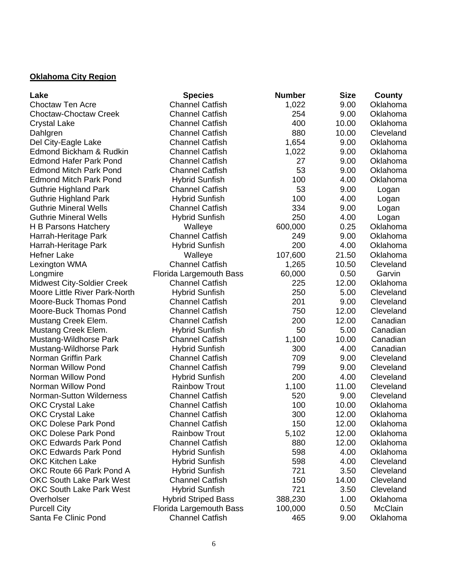#### **Oklahoma City Region**

| Lake                              | <b>Species</b>             | <b>Number</b> | <b>Size</b> | County    |
|-----------------------------------|----------------------------|---------------|-------------|-----------|
| <b>Choctaw Ten Acre</b>           | <b>Channel Catfish</b>     | 1,022         | 9.00        | Oklahoma  |
| <b>Choctaw-Choctaw Creek</b>      | <b>Channel Catfish</b>     | 254           | 9.00        | Oklahoma  |
| <b>Crystal Lake</b>               | <b>Channel Catfish</b>     | 400           | 10.00       | Oklahoma  |
| Dahlgren                          | <b>Channel Catfish</b>     | 880           | 10.00       | Cleveland |
| Del City-Eagle Lake               | <b>Channel Catfish</b>     | 1,654         | 9.00        | Oklahoma  |
| Edmond Bickham & Rudkin           | <b>Channel Catfish</b>     | 1,022         | 9.00        | Oklahoma  |
| <b>Edmond Hafer Park Pond</b>     | <b>Channel Catfish</b>     | 27            | 9.00        | Oklahoma  |
| <b>Edmond Mitch Park Pond</b>     | <b>Channel Catfish</b>     | 53            | 9.00        | Oklahoma  |
| <b>Edmond Mitch Park Pond</b>     | <b>Hybrid Sunfish</b>      | 100           | 4.00        | Oklahoma  |
| <b>Guthrie Highland Park</b>      | <b>Channel Catfish</b>     | 53            | 9.00        | Logan     |
| <b>Guthrie Highland Park</b>      | <b>Hybrid Sunfish</b>      | 100           | 4.00        | Logan     |
| <b>Guthrie Mineral Wells</b>      | <b>Channel Catfish</b>     | 334           | 9.00        | Logan     |
| <b>Guthrie Mineral Wells</b>      | <b>Hybrid Sunfish</b>      | 250           | 4.00        | Logan     |
| H B Parsons Hatchery              | Walleye                    | 600,000       | 0.25        | Oklahoma  |
| Harrah-Heritage Park              | <b>Channel Catfish</b>     | 249           | 9.00        | Oklahoma  |
| Harrah-Heritage Park              | <b>Hybrid Sunfish</b>      | 200           | 4.00        | Oklahoma  |
| <b>Hefner Lake</b>                | Walleye                    | 107,600       | 21.50       | Oklahoma  |
| Lexington WMA                     | <b>Channel Catfish</b>     | 1,265         | 10.50       | Cleveland |
| Longmire                          | Florida Largemouth Bass    | 60,000        | 0.50        | Garvin    |
| <b>Midwest City-Soldier Creek</b> | <b>Channel Catfish</b>     | 225           | 12.00       | Oklahoma  |
| Moore Little River Park-North     | <b>Hybrid Sunfish</b>      | 250           | 5.00        | Cleveland |
| Moore-Buck Thomas Pond            | <b>Channel Catfish</b>     | 201           | 9.00        | Cleveland |
| Moore-Buck Thomas Pond            | <b>Channel Catfish</b>     | 750           | 12.00       | Cleveland |
| Mustang Creek Elem.               | <b>Channel Catfish</b>     | 200           | 12.00       | Canadian  |
| Mustang Creek Elem.               | <b>Hybrid Sunfish</b>      | 50            | 5.00        | Canadian  |
| Mustang-Wildhorse Park            | <b>Channel Catfish</b>     | 1,100         | 10.00       | Canadian  |
| Mustang-Wildhorse Park            | <b>Hybrid Sunfish</b>      | 300           | 4.00        | Canadian  |
| Norman Griffin Park               | <b>Channel Catfish</b>     | 709           | 9.00        | Cleveland |
| Norman Willow Pond                | <b>Channel Catfish</b>     | 799           | 9.00        | Cleveland |
| Norman Willow Pond                | <b>Hybrid Sunfish</b>      | 200           | 4.00        | Cleveland |
| Norman Willow Pond                | <b>Rainbow Trout</b>       | 1,100         | 11.00       | Cleveland |
| Norman-Sutton Wilderness          | <b>Channel Catfish</b>     | 520           | 9.00        | Cleveland |
| <b>OKC Crystal Lake</b>           | <b>Channel Catfish</b>     | 100           | 10.00       | Oklahoma  |
| <b>OKC Crystal Lake</b>           | <b>Channel Catfish</b>     | 300           | 12.00       | Oklahoma  |
| <b>OKC Dolese Park Pond</b>       | <b>Channel Catfish</b>     | 150           | 12.00       | Oklahoma  |
| <b>OKC Dolese Park Pond</b>       | <b>Rainbow Trout</b>       | 5,102         | 12.00       | Oklahoma  |
| <b>OKC Edwards Park Pond</b>      | <b>Channel Catfish</b>     | 880           | 12.00       | Oklahoma  |
| <b>OKC Edwards Park Pond</b>      | <b>Hybrid Sunfish</b>      | 598           | 4.00        | Oklahoma  |
| <b>OKC Kitchen Lake</b>           | <b>Hybrid Sunfish</b>      | 598           | 4.00        | Cleveland |
| OKC Route 66 Park Pond A          | <b>Hybrid Sunfish</b>      | 721           | 3.50        | Cleveland |
| <b>OKC South Lake Park West</b>   | <b>Channel Catfish</b>     | 150           | 14.00       | Cleveland |
| <b>OKC South Lake Park West</b>   | <b>Hybrid Sunfish</b>      | 721           | 3.50        | Cleveland |
| Overholser                        | <b>Hybrid Striped Bass</b> | 388,230       | 1.00        | Oklahoma  |
| <b>Purcell City</b>               | Florida Largemouth Bass    | 100,000       | 0.50        | McClain   |
| Santa Fe Clinic Pond              | <b>Channel Catfish</b>     | 465           | 9.00        | Oklahoma  |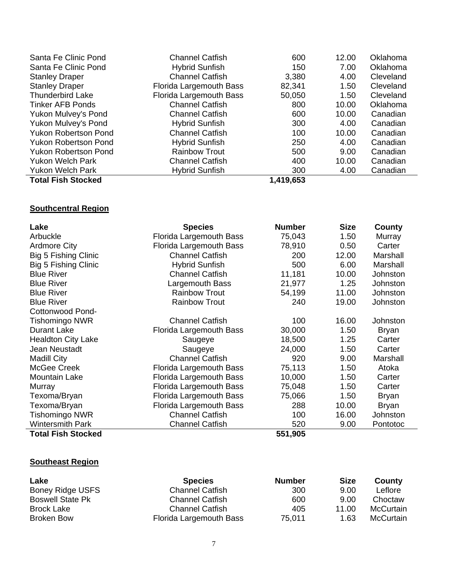| Santa Fe Clinic Pond        | <b>Channel Catfish</b>  | 600       | 12.00 | Oklahoma  |
|-----------------------------|-------------------------|-----------|-------|-----------|
| Santa Fe Clinic Pond        | <b>Hybrid Sunfish</b>   | 150       | 7.00  | Oklahoma  |
| <b>Stanley Draper</b>       | <b>Channel Catfish</b>  | 3,380     | 4.00  | Cleveland |
| <b>Stanley Draper</b>       | Florida Largemouth Bass | 82,341    | 1.50  | Cleveland |
| <b>Thunderbird Lake</b>     | Florida Largemouth Bass | 50,050    | 1.50  | Cleveland |
| <b>Tinker AFB Ponds</b>     | <b>Channel Catfish</b>  | 800       | 10.00 | Oklahoma  |
| Yukon Mulvey's Pond         | <b>Channel Catfish</b>  | 600       | 10.00 | Canadian  |
| Yukon Mulvey's Pond         | <b>Hybrid Sunfish</b>   | 300       | 4.00  | Canadian  |
| <b>Yukon Robertson Pond</b> | <b>Channel Catfish</b>  | 100       | 10.00 | Canadian  |
| <b>Yukon Robertson Pond</b> | <b>Hybrid Sunfish</b>   | 250       | 4.00  | Canadian  |
| <b>Yukon Robertson Pond</b> | <b>Rainbow Trout</b>    | 500       | 9.00  | Canadian  |
| <b>Yukon Welch Park</b>     | <b>Channel Catfish</b>  | 400       | 10.00 | Canadian  |
| <b>Yukon Welch Park</b>     | <b>Hybrid Sunfish</b>   | 300       | 4.00  | Canadian  |
| <b>Total Fish Stocked</b>   |                         | 1,419,653 |       |           |

# **Southcentral Region**

| Lake                        | <b>Species</b>          | <b>Number</b> | <b>Size</b> | County       |
|-----------------------------|-------------------------|---------------|-------------|--------------|
| Arbuckle                    | Florida Largemouth Bass | 75,043        | 1.50        | Murray       |
| <b>Ardmore City</b>         | Florida Largemouth Bass | 78,910        | 0.50        | Carter       |
| Big 5 Fishing Clinic        | <b>Channel Catfish</b>  | 200           | 12.00       | Marshall     |
| <b>Big 5 Fishing Clinic</b> | <b>Hybrid Sunfish</b>   | 500           | 6.00        | Marshall     |
| <b>Blue River</b>           | <b>Channel Catfish</b>  | 11,181        | 10.00       | Johnston     |
| <b>Blue River</b>           | Largemouth Bass         | 21,977        | 1.25        | Johnston     |
| <b>Blue River</b>           | <b>Rainbow Trout</b>    | 54,199        | 11.00       | Johnston     |
| <b>Blue River</b>           | <b>Rainbow Trout</b>    | 240           | 19.00       | Johnston     |
| Cottonwood Pond-            |                         |               |             |              |
| <b>Tishomingo NWR</b>       | <b>Channel Catfish</b>  | 100           | 16.00       | Johnston     |
| <b>Durant Lake</b>          | Florida Largemouth Bass | 30,000        | 1.50        | <b>Bryan</b> |
| <b>Healdton City Lake</b>   | Saugeye                 | 18,500        | 1.25        | Carter       |
| Jean Neustadt               | Saugeye                 | 24,000        | 1.50        | Carter       |
| <b>Madill City</b>          | <b>Channel Catfish</b>  | 920           | 9.00        | Marshall     |
| McGee Creek                 | Florida Largemouth Bass | 75,113        | 1.50        | Atoka        |
| <b>Mountain Lake</b>        | Florida Largemouth Bass | 10,000        | 1.50        | Carter       |
| Murray                      | Florida Largemouth Bass | 75,048        | 1.50        | Carter       |
| Texoma/Bryan                | Florida Largemouth Bass | 75,066        | 1.50        | <b>Bryan</b> |
| Texoma/Bryan                | Florida Largemouth Bass | 288           | 10.00       | <b>Bryan</b> |
| <b>Tishomingo NWR</b>       | <b>Channel Catfish</b>  | 100           | 16.00       | Johnston     |
| <b>Wintersmith Park</b>     | <b>Channel Catfish</b>  | 520           | 9.00        | Pontotoc     |
| <b>Total Fish Stocked</b>   |                         | 551,905       |             |              |

#### **Southeast Region**

| Lake                    | <b>Species</b>          | <b>Number</b> | <b>Size</b> | County    |
|-------------------------|-------------------------|---------------|-------------|-----------|
| Boney Ridge USFS        | <b>Channel Catfish</b>  | 300           | 9.00        | Leflore   |
| <b>Boswell State Pk</b> | <b>Channel Catfish</b>  | 600           | 9.00        | Choctaw   |
| Brock Lake              | <b>Channel Catfish</b>  | 405           | 11.00       | McCurtain |
| <b>Broken Bow</b>       | Florida Largemouth Bass | 75,011        | 1.63        | McCurtain |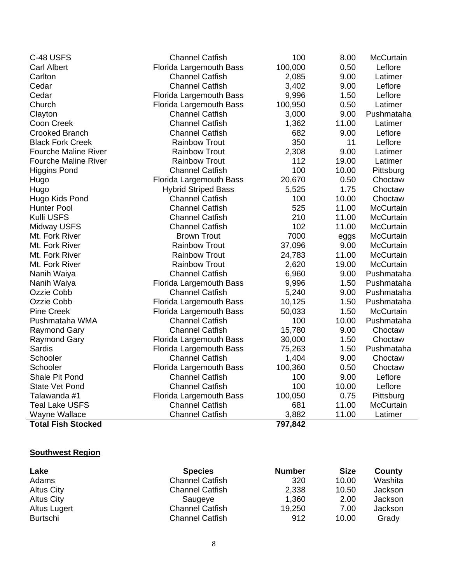| C-48 USFS                   | <b>Channel Catfish</b>         | 100     | 8.00  | <b>McCurtain</b> |
|-----------------------------|--------------------------------|---------|-------|------------------|
| <b>Carl Albert</b>          | Florida Largemouth Bass        | 100,000 | 0.50  | Leflore          |
| Carlton                     | <b>Channel Catfish</b>         | 2,085   | 9.00  | Latimer          |
| Cedar                       | <b>Channel Catfish</b>         | 3,402   | 9.00  | Leflore          |
| Cedar                       | Florida Largemouth Bass        | 9,996   | 1.50  | Leflore          |
| Church                      | Florida Largemouth Bass        | 100,950 | 0.50  | Latimer          |
| Clayton                     | <b>Channel Catfish</b>         | 3,000   | 9.00  | Pushmataha       |
| Coon Creek                  | <b>Channel Catfish</b>         | 1,362   | 11.00 | Latimer          |
| <b>Crooked Branch</b>       | <b>Channel Catfish</b>         | 682     | 9.00  | Leflore          |
| <b>Black Fork Creek</b>     | <b>Rainbow Trout</b>           | 350     | 11    | Leflore          |
| <b>Fourche Maline River</b> | <b>Rainbow Trout</b>           | 2,308   | 9.00  | Latimer          |
| <b>Fourche Maline River</b> | <b>Rainbow Trout</b>           | 112     | 19.00 | Latimer          |
| <b>Higgins Pond</b>         | <b>Channel Catfish</b>         | 100     | 10.00 | Pittsburg        |
| Hugo                        | <b>Florida Largemouth Bass</b> | 20,670  | 0.50  | Choctaw          |
| Hugo                        | <b>Hybrid Striped Bass</b>     | 5,525   | 1.75  | Choctaw          |
| Hugo Kids Pond              | <b>Channel Catfish</b>         | 100     | 10.00 | Choctaw          |
| <b>Hunter Pool</b>          | <b>Channel Catfish</b>         | 525     | 11.00 | McCurtain        |
| Kulli USFS                  | <b>Channel Catfish</b>         | 210     | 11.00 | McCurtain        |
| <b>Midway USFS</b>          | <b>Channel Catfish</b>         | 102     | 11.00 | McCurtain        |
| Mt. Fork River              | <b>Brown Trout</b>             | 7000    | eggs  | <b>McCurtain</b> |
| Mt. Fork River              | <b>Rainbow Trout</b>           | 37,096  | 9.00  | <b>McCurtain</b> |
| Mt. Fork River              | <b>Rainbow Trout</b>           | 24,783  | 11.00 | <b>McCurtain</b> |
| Mt. Fork River              | <b>Rainbow Trout</b>           | 2,620   | 19.00 | McCurtain        |
| Nanih Waiya                 | <b>Channel Catfish</b>         | 6,960   | 9.00  | Pushmataha       |
| Nanih Waiya                 | Florida Largemouth Bass        | 9,996   | 1.50  | Pushmataha       |
| Ozzie Cobb                  | <b>Channel Catfish</b>         | 5,240   | 9.00  | Pushmataha       |
| Ozzie Cobb                  | Florida Largemouth Bass        | 10,125  | 1.50  | Pushmataha       |
| <b>Pine Creek</b>           | <b>Florida Largemouth Bass</b> | 50,033  | 1.50  | <b>McCurtain</b> |
| Pushmataha WMA              | <b>Channel Catfish</b>         | 100     | 10.00 | Pushmataha       |
| <b>Raymond Gary</b>         | <b>Channel Catfish</b>         | 15,780  | 9.00  | Choctaw          |
| <b>Raymond Gary</b>         | Florida Largemouth Bass        | 30,000  | 1.50  | Choctaw          |
| Sardis                      | <b>Florida Largemouth Bass</b> | 75,263  | 1.50  | Pushmataha       |
| Schooler                    | <b>Channel Catfish</b>         | 1,404   | 9.00  | Choctaw          |
| Schooler                    | <b>Florida Largemouth Bass</b> | 100,360 | 0.50  | Choctaw          |
| Shale Pit Pond              | <b>Channel Catfish</b>         | 100     | 9.00  | Leflore          |
| <b>State Vet Pond</b>       | <b>Channel Catfish</b>         | 100     | 10.00 | Leflore          |
| Talawanda #1                | Florida Largemouth Bass        | 100,050 | 0.75  | Pittsburg        |
| <b>Teal Lake USFS</b>       | <b>Channel Catfish</b>         | 681     | 11.00 | McCurtain        |
| Wayne Wallace               | <b>Channel Catfish</b>         | 3,882   | 11.00 | Latimer          |
| <b>Total Fish Stocked</b>   |                                | 797,842 |       |                  |

# **Southwest Region**

l,

| Lake              | <b>Species</b>         | <b>Number</b> | <b>Size</b> | County  |
|-------------------|------------------------|---------------|-------------|---------|
| Adams             | <b>Channel Catfish</b> | 320           | 10.00       | Washita |
| Altus City        | <b>Channel Catfish</b> | 2,338         | 10.50       | Jackson |
| <b>Altus City</b> | Saugeye                | 1,360         | 2.00        | Jackson |
| Altus Lugert      | <b>Channel Catfish</b> | 19,250        | 7.00        | Jackson |
| <b>Burtschi</b>   | <b>Channel Catfish</b> | 912           | 10.00       | Grady   |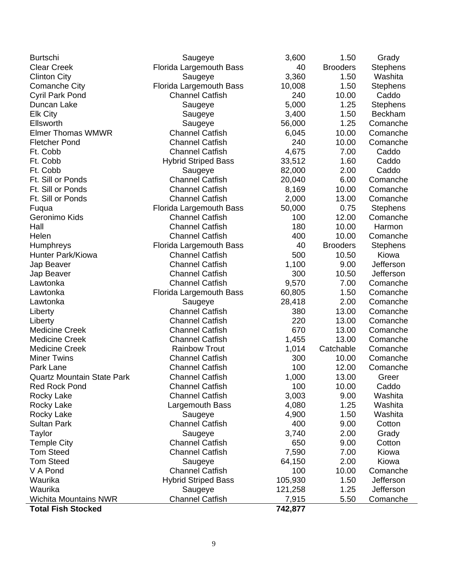| <b>Burtschi</b>                   | Saugeye                        | 3,600   | 1.50            | Grady           |
|-----------------------------------|--------------------------------|---------|-----------------|-----------------|
| <b>Clear Creek</b>                | <b>Florida Largemouth Bass</b> | 40      | <b>Brooders</b> | <b>Stephens</b> |
| <b>Clinton City</b>               | Saugeye                        | 3,360   | 1.50            | Washita         |
| <b>Comanche City</b>              | <b>Florida Largemouth Bass</b> | 10,008  | 1.50            | <b>Stephens</b> |
| Cyril Park Pond                   | <b>Channel Catfish</b>         | 240     | 10.00           | Caddo           |
| Duncan Lake                       | Saugeye                        | 5,000   | 1.25            | <b>Stephens</b> |
| <b>Elk City</b>                   | Saugeye                        | 3,400   | 1.50            | <b>Beckham</b>  |
| Ellsworth                         | Saugeye                        | 56,000  | 1.25            | Comanche        |
| <b>Elmer Thomas WMWR</b>          | <b>Channel Catfish</b>         | 6,045   | 10.00           | Comanche        |
| <b>Fletcher Pond</b>              | <b>Channel Catfish</b>         | 240     | 10.00           | Comanche        |
| Ft. Cobb                          | <b>Channel Catfish</b>         | 4,675   | 7.00            | Caddo           |
| Ft. Cobb                          | <b>Hybrid Striped Bass</b>     | 33,512  | 1.60            | Caddo           |
| Ft. Cobb                          | Saugeye                        | 82,000  | 2.00            | Caddo           |
| Ft. Sill or Ponds                 | <b>Channel Catfish</b>         | 20,040  | 6.00            | Comanche        |
| Ft. Sill or Ponds                 | <b>Channel Catfish</b>         | 8,169   | 10.00           | Comanche        |
| Ft. Sill or Ponds                 | <b>Channel Catfish</b>         | 2,000   | 13.00           | Comanche        |
| Fuqua                             | <b>Florida Largemouth Bass</b> | 50,000  | 0.75            | <b>Stephens</b> |
| Geronimo Kids                     | <b>Channel Catfish</b>         | 100     | 12.00           | Comanche        |
| Hall                              | <b>Channel Catfish</b>         | 180     | 10.00           | Harmon          |
| Helen                             | <b>Channel Catfish</b>         | 400     | 10.00           | Comanche        |
| Humphreys                         | <b>Florida Largemouth Bass</b> | 40      | <b>Brooders</b> | <b>Stephens</b> |
| Hunter Park/Kiowa                 | <b>Channel Catfish</b>         | 500     | 10.50           | Kiowa           |
| Jap Beaver                        | <b>Channel Catfish</b>         | 1,100   | 9.00            | Jefferson       |
| Jap Beaver                        | <b>Channel Catfish</b>         | 300     | 10.50           | Jefferson       |
| Lawtonka                          | <b>Channel Catfish</b>         | 9,570   | 7.00            | Comanche        |
| Lawtonka                          | Florida Largemouth Bass        | 60,805  | 1.50            | Comanche        |
| Lawtonka                          | Saugeye                        | 28,418  | 2.00            | Comanche        |
| Liberty                           | <b>Channel Catfish</b>         | 380     | 13.00           | Comanche        |
| Liberty                           | <b>Channel Catfish</b>         | 220     | 13.00           | Comanche        |
| <b>Medicine Creek</b>             | <b>Channel Catfish</b>         | 670     | 13.00           | Comanche        |
| <b>Medicine Creek</b>             | <b>Channel Catfish</b>         | 1,455   | 13.00           | Comanche        |
| <b>Medicine Creek</b>             | <b>Rainbow Trout</b>           | 1,014   | Catchable       | Comanche        |
| <b>Miner Twins</b>                | <b>Channel Catfish</b>         | 300     | 10.00           | Comanche        |
| Park Lane                         | <b>Channel Catfish</b>         | 100     | 12.00           | Comanche        |
| <b>Quartz Mountain State Park</b> | <b>Channel Catfish</b>         | 1,000   | 13.00           | Greer           |
| <b>Red Rock Pond</b>              | <b>Channel Catfish</b>         | 100     | 10.00           | Caddo           |
| <b>Rocky Lake</b>                 | <b>Channel Catfish</b>         | 3,003   | 9.00            | Washita         |
| Rocky Lake                        | Largemouth Bass                | 4,080   | 1.25            | Washita         |
| Rocky Lake                        | Saugeye                        | 4,900   | 1.50            | Washita         |
| <b>Sultan Park</b>                | <b>Channel Catfish</b>         | 400     | 9.00            | Cotton          |
| Taylor                            | Saugeye                        | 3,740   | 2.00            | Grady           |
| <b>Temple City</b>                | <b>Channel Catfish</b>         | 650     | 9.00            | Cotton          |
| <b>Tom Steed</b>                  | <b>Channel Catfish</b>         | 7,590   | 7.00            | Kiowa           |
| <b>Tom Steed</b>                  | Saugeye                        | 64,150  | 2.00            | Kiowa           |
| V A Pond                          | <b>Channel Catfish</b>         | 100     | 10.00           | Comanche        |
| Waurika                           | <b>Hybrid Striped Bass</b>     | 105,930 | 1.50            | Jefferson       |
| Waurika                           | Saugeye                        | 121,258 | 1.25            | Jefferson       |
| <b>Wichita Mountains NWR</b>      | <b>Channel Catfish</b>         | 7,915   | 5.50            | Comanche        |
| <b>Total Fish Stocked</b>         |                                | 742,877 |                 |                 |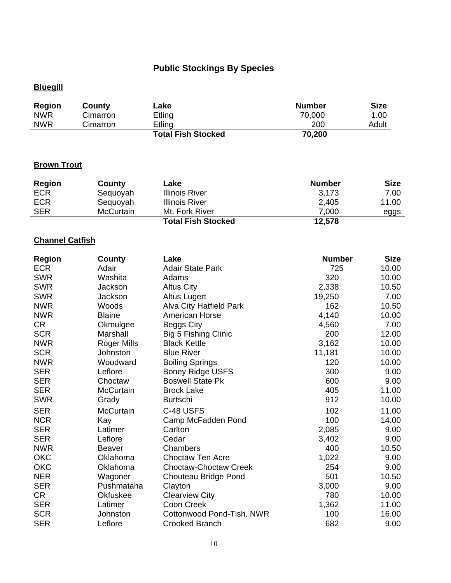# **Public Stockings By Species**

# **Bluegill**

| Region     | County   | Lake                      | <b>Number</b> | <b>Size</b> |
|------------|----------|---------------------------|---------------|-------------|
| <b>NWR</b> | Cimarron | Etling                    | 70,000        | 1.00        |
| <b>NWR</b> | Cimarron | Etling                    | 200           | Adult       |
|            |          | <b>Total Fish Stocked</b> | 70,200        |             |

#### **Brown Trout**

| <b>Region</b> | County    | Lake                      | <b>Number</b> | <b>Size</b> |
|---------------|-----------|---------------------------|---------------|-------------|
| <b>ECR</b>    | Sequoyah  | <b>Illinois River</b>     | 3.173         | 7.00        |
| <b>ECR</b>    | Sequoyah  | <b>Illinois River</b>     | 2,405         | 11.00       |
| <b>SER</b>    | McCurtain | Mt. Fork River            | 7.000         | eggs        |
|               |           | <b>Total Fish Stocked</b> | 12,578        |             |

# **Channel Catfish**

| <b>Region</b> | County           | Lake                           | <b>Number</b> | <b>Size</b> |
|---------------|------------------|--------------------------------|---------------|-------------|
| <b>ECR</b>    | Adair            | <b>Adair State Park</b>        | 725           | 10.00       |
| <b>SWR</b>    | Washita          | Adams                          | 320           | 10.00       |
| <b>SWR</b>    | Jackson          | <b>Altus City</b>              | 2,338         | 10.50       |
| <b>SWR</b>    | Jackson          | <b>Altus Lugert</b>            | 19,250        | 7.00        |
| <b>NWR</b>    | Woods            | <b>Alva City Hatfield Park</b> | 162           | 10.50       |
| <b>NWR</b>    | <b>Blaine</b>    | <b>American Horse</b>          | 4,140         | 10.00       |
| <b>CR</b>     | Okmulgee         | <b>Beggs City</b>              | 4,560         | 7.00        |
| <b>SCR</b>    | Marshall         | <b>Big 5 Fishing Clinic</b>    | 200           | 12.00       |
| <b>NWR</b>    | Roger Mills      | <b>Black Kettle</b>            | 3,162         | 10.00       |
| <b>SCR</b>    | Johnston         | <b>Blue River</b>              | 11,181        | 10.00       |
| <b>NWR</b>    | Woodward         | <b>Boiling Springs</b>         | 120           | 10.00       |
| <b>SER</b>    | Leflore          | <b>Boney Ridge USFS</b>        | 300           | 9.00        |
| <b>SER</b>    | Choctaw          | <b>Boswell State Pk</b>        | 600           | 9.00        |
| <b>SER</b>    | McCurtain        | <b>Brock Lake</b>              | 405           | 11.00       |
| <b>SWR</b>    | Grady            | <b>Burtschi</b>                | 912           | 10.00       |
| <b>SER</b>    | <b>McCurtain</b> | C-48 USFS                      | 102           | 11.00       |
| <b>NCR</b>    | Kay              | Camp McFadden Pond             | 100           | 14.00       |
| <b>SER</b>    | Latimer          | Carlton                        | 2,085         | 9.00        |
| <b>SER</b>    | Leflore          | Cedar                          | 3,402         | 9.00        |
| <b>NWR</b>    | Beaver           | Chambers                       | 400           | 10.50       |
| <b>OKC</b>    | Oklahoma         | <b>Choctaw Ten Acre</b>        | 1,022         | 9.00        |
| <b>OKC</b>    | Oklahoma         | <b>Choctaw-Choctaw Creek</b>   | 254           | 9.00        |
| <b>NER</b>    | Wagoner          | Chouteau Bridge Pond           | 501           | 10.50       |
| <b>SER</b>    | Pushmataha       | Clayton                        | 3,000         | 9.00        |
| <b>CR</b>     | Okfuskee         | <b>Clearview City</b>          | 780           | 10.00       |
| <b>SER</b>    | Latimer          | <b>Coon Creek</b>              | 1,362         | 11.00       |
| <b>SCR</b>    | Johnston         | Cottonwood Pond-Tish. NWR      | 100           | 16.00       |
| <b>SER</b>    | Leflore          | <b>Crooked Branch</b>          | 682           | 9.00        |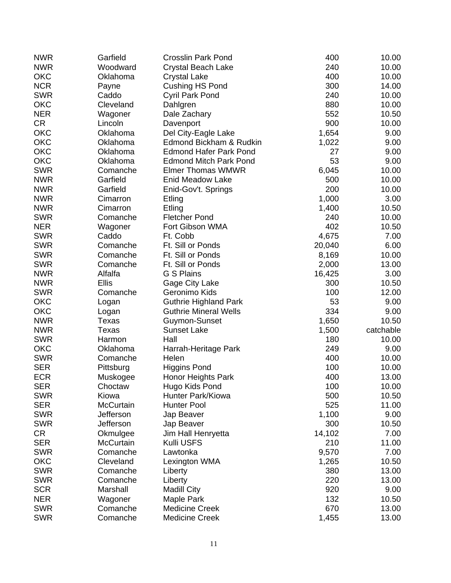| <b>NWR</b> | Garfield         | <b>Crosslin Park Pond</b>     | 400    | 10.00     |
|------------|------------------|-------------------------------|--------|-----------|
| <b>NWR</b> | Woodward         | <b>Crystal Beach Lake</b>     | 240    | 10.00     |
| <b>OKC</b> | Oklahoma         | <b>Crystal Lake</b>           | 400    | 10.00     |
| <b>NCR</b> | Payne            | <b>Cushing HS Pond</b>        | 300    | 14.00     |
| <b>SWR</b> | Caddo            | <b>Cyril Park Pond</b>        | 240    | 10.00     |
| <b>OKC</b> | Cleveland        | Dahlgren                      | 880    | 10.00     |
| <b>NER</b> | Wagoner          | Dale Zachary                  | 552    | 10.50     |
| <b>CR</b>  | Lincoln          | Davenport                     | 900    | 10.00     |
| <b>OKC</b> | Oklahoma         | Del City-Eagle Lake           | 1,654  | 9.00      |
| <b>OKC</b> | Oklahoma         | Edmond Bickham & Rudkin       | 1,022  | 9.00      |
| <b>OKC</b> | Oklahoma         | <b>Edmond Hafer Park Pond</b> | 27     | 9.00      |
| <b>OKC</b> | Oklahoma         | <b>Edmond Mitch Park Pond</b> | 53     | 9.00      |
| <b>SWR</b> | Comanche         | <b>Elmer Thomas WMWR</b>      | 6,045  | 10.00     |
| <b>NWR</b> | Garfield         | <b>Enid Meadow Lake</b>       | 500    | 10.00     |
| <b>NWR</b> | Garfield         | Enid-Gov't. Springs           | 200    | 10.00     |
| <b>NWR</b> | Cimarron         | Etling                        | 1,000  | 3.00      |
| <b>NWR</b> | Cimarron         | Etling                        | 1,400  | 10.50     |
| <b>SWR</b> | Comanche         | <b>Fletcher Pond</b>          | 240    | 10.00     |
| <b>NER</b> | Wagoner          | Fort Gibson WMA               | 402    | 10.50     |
| <b>SWR</b> | Caddo            | Ft. Cobb                      | 4,675  | 7.00      |
| <b>SWR</b> | Comanche         | Ft. Sill or Ponds             | 20,040 | 6.00      |
| <b>SWR</b> | Comanche         | Ft. Sill or Ponds             | 8,169  | 10.00     |
| <b>SWR</b> | Comanche         | Ft. Sill or Ponds             | 2,000  | 13.00     |
| <b>NWR</b> | Alfalfa          | G S Plains                    | 16,425 | 3.00      |
| <b>NWR</b> | <b>Ellis</b>     |                               |        | 10.50     |
|            |                  | Gage City Lake                | 300    |           |
| <b>SWR</b> | Comanche         | Geronimo Kids                 | 100    | 12.00     |
| <b>OKC</b> | Logan            | <b>Guthrie Highland Park</b>  | 53     | 9.00      |
| <b>OKC</b> | Logan            | <b>Guthrie Mineral Wells</b>  | 334    | 9.00      |
| <b>NWR</b> | Texas            | Guymon-Sunset                 | 1,650  | 10.50     |
| <b>NWR</b> | Texas            | <b>Sunset Lake</b>            | 1,500  | catchable |
| <b>SWR</b> | Harmon           | Hall                          | 180    | 10.00     |
| <b>OKC</b> | Oklahoma         | Harrah-Heritage Park          | 249    | 9.00      |
| <b>SWR</b> | Comanche         | Helen                         | 400    | 10.00     |
| <b>SER</b> | Pittsburg        | <b>Higgins Pond</b>           | 100    | 10.00     |
| <b>ECR</b> | Muskogee         | Honor Heights Park            | 400    | 13.00     |
| <b>SER</b> | Choctaw          | Hugo Kids Pond                | 100    | 10.00     |
| <b>SWR</b> | Kiowa            | Hunter Park/Kiowa             | 500    | 10.50     |
| <b>SER</b> | <b>McCurtain</b> | <b>Hunter Pool</b>            | 525    | 11.00     |
| <b>SWR</b> | Jefferson        | Jap Beaver                    | 1,100  | 9.00      |
| <b>SWR</b> | Jefferson        | Jap Beaver                    | 300    | 10.50     |
| <b>CR</b>  | Okmulgee         | Jim Hall Henryetta            | 14,102 | 7.00      |
| <b>SER</b> | <b>McCurtain</b> | Kulli USFS                    | 210    | 11.00     |
| <b>SWR</b> | Comanche         | Lawtonka                      | 9,570  | 7.00      |
| <b>OKC</b> | Cleveland        | Lexington WMA                 | 1,265  | 10.50     |
| <b>SWR</b> | Comanche         | Liberty                       | 380    | 13.00     |
| <b>SWR</b> | Comanche         | Liberty                       | 220    | 13.00     |
| <b>SCR</b> | Marshall         | <b>Madill City</b>            | 920    | 9.00      |
| <b>NER</b> | Wagoner          | Maple Park                    | 132    | 10.50     |
| <b>SWR</b> | Comanche         | <b>Medicine Creek</b>         | 670    | 13.00     |
| <b>SWR</b> | Comanche         | <b>Medicine Creek</b>         | 1,455  | 13.00     |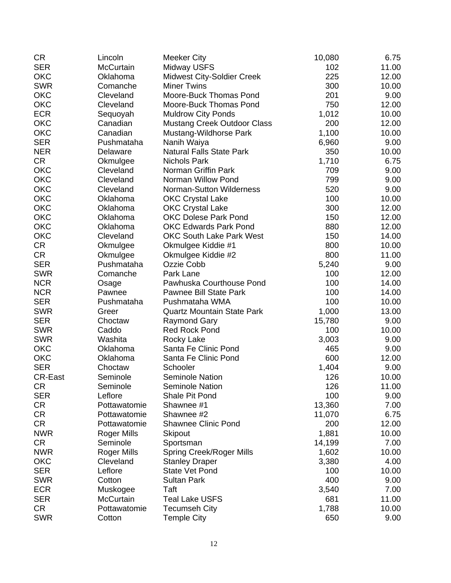| <b>CR</b>      | Lincoln            | <b>Meeker City</b>                 | 10,080 | 6.75  |
|----------------|--------------------|------------------------------------|--------|-------|
| <b>SER</b>     | <b>McCurtain</b>   | <b>Midway USFS</b>                 | 102    | 11.00 |
| <b>OKC</b>     | Oklahoma           | <b>Midwest City-Soldier Creek</b>  | 225    | 12.00 |
| <b>SWR</b>     | Comanche           | <b>Miner Twins</b>                 | 300    | 10.00 |
| <b>OKC</b>     | Cleveland          | Moore-Buck Thomas Pond             | 201    | 9.00  |
| <b>OKC</b>     | Cleveland          | Moore-Buck Thomas Pond             | 750    | 12.00 |
| <b>ECR</b>     | Sequoyah           | <b>Muldrow City Ponds</b>          | 1,012  | 10.00 |
| <b>OKC</b>     | Canadian           | <b>Mustang Creek Outdoor Class</b> | 200    | 12.00 |
| <b>OKC</b>     | Canadian           | Mustang-Wildhorse Park             | 1,100  | 10.00 |
| <b>SER</b>     | Pushmataha         | Nanih Waiya                        | 6,960  | 9.00  |
| <b>NER</b>     | Delaware           | <b>Natural Falls State Park</b>    | 350    | 10.00 |
| <b>CR</b>      | Okmulgee           | <b>Nichols Park</b>                | 1,710  | 6.75  |
| <b>OKC</b>     | Cleveland          | Norman Griffin Park                | 709    | 9.00  |
| <b>OKC</b>     | Cleveland          | Norman Willow Pond                 | 799    | 9.00  |
| <b>OKC</b>     | Cleveland          | <b>Norman-Sutton Wilderness</b>    | 520    | 9.00  |
| OKC            | Oklahoma           | <b>OKC Crystal Lake</b>            | 100    | 10.00 |
| <b>OKC</b>     | Oklahoma           | <b>OKC Crystal Lake</b>            | 300    | 12.00 |
| <b>OKC</b>     | Oklahoma           | <b>OKC Dolese Park Pond</b>        | 150    | 12.00 |
| <b>OKC</b>     |                    | <b>OKC Edwards Park Pond</b>       | 880    | 12.00 |
| <b>OKC</b>     | Oklahoma           | <b>OKC South Lake Park West</b>    |        |       |
|                | Cleveland          |                                    | 150    | 14.00 |
| <b>CR</b>      | Okmulgee           | Okmulgee Kiddie #1                 | 800    | 10.00 |
| <b>CR</b>      | Okmulgee           | Okmulgee Kiddie #2                 | 800    | 11.00 |
| <b>SER</b>     | Pushmataha         | Ozzie Cobb                         | 5,240  | 9.00  |
| <b>SWR</b>     | Comanche           | Park Lane                          | 100    | 12.00 |
| <b>NCR</b>     | Osage              | Pawhuska Courthouse Pond           | 100    | 14.00 |
| <b>NCR</b>     | Pawnee             | <b>Pawnee Bill State Park</b>      | 100    | 14.00 |
| <b>SER</b>     | Pushmataha         | Pushmataha WMA                     | 100    | 10.00 |
| <b>SWR</b>     | Greer              | <b>Quartz Mountain State Park</b>  | 1,000  | 13.00 |
| <b>SER</b>     | Choctaw            | Raymond Gary                       | 15,780 | 9.00  |
| <b>SWR</b>     | Caddo              | <b>Red Rock Pond</b>               | 100    | 10.00 |
| <b>SWR</b>     | Washita            | Rocky Lake                         | 3,003  | 9.00  |
| <b>OKC</b>     | Oklahoma           | Santa Fe Clinic Pond               | 465    | 9.00  |
| <b>OKC</b>     | Oklahoma           | Santa Fe Clinic Pond               | 600    | 12.00 |
| <b>SER</b>     | Choctaw            | Schooler                           | 1,404  | 9.00  |
| <b>CR-East</b> | Seminole           | <b>Seminole Nation</b>             | 126    | 10.00 |
| CR             | Seminole           | <b>Seminole Nation</b>             | 126    | 11.00 |
| <b>SER</b>     | Leflore            | Shale Pit Pond                     | 100    | 9.00  |
| <b>CR</b>      | Pottawatomie       | Shawnee #1                         | 13,360 | 7.00  |
| <b>CR</b>      | Pottawatomie       | Shawnee #2                         | 11,070 | 6.75  |
| <b>CR</b>      | Pottawatomie       | <b>Shawnee Clinic Pond</b>         | 200    | 12.00 |
| <b>NWR</b>     | Roger Mills        | <b>Skipout</b>                     | 1,881  | 10.00 |
| <b>CR</b>      | Seminole           | Sportsman                          | 14,199 | 7.00  |
| <b>NWR</b>     | <b>Roger Mills</b> | <b>Spring Creek/Roger Mills</b>    | 1,602  | 10.00 |
| <b>OKC</b>     | Cleveland          | <b>Stanley Draper</b>              | 3,380  | 4.00  |
| <b>SER</b>     | Leflore            | <b>State Vet Pond</b>              | 100    | 10.00 |
| <b>SWR</b>     | Cotton             | <b>Sultan Park</b>                 | 400    | 9.00  |
| <b>ECR</b>     | Muskogee           | Taft                               | 3,540  | 7.00  |
| <b>SER</b>     | McCurtain          | <b>Teal Lake USFS</b>              | 681    | 11.00 |
| <b>CR</b>      | Pottawatomie       | <b>Tecumseh City</b>               | 1,788  | 10.00 |
| <b>SWR</b>     | Cotton             | <b>Temple City</b>                 | 650    | 9.00  |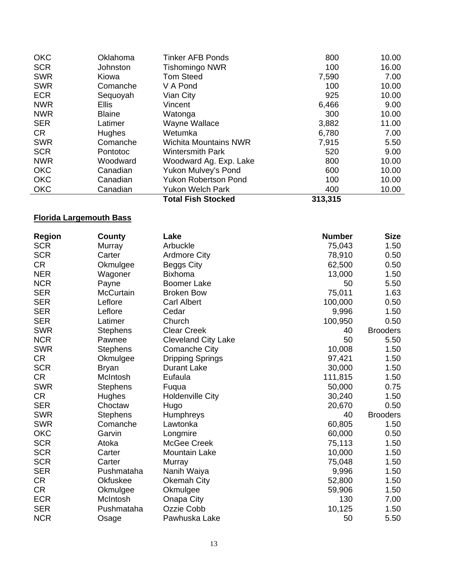| Canadian      | <b>Yukon Welch Park</b>      | 400   | 10.00 |
|---------------|------------------------------|-------|-------|
|               |                              |       |       |
| Canadian      | <b>Yukon Robertson Pond</b>  | 100   | 10.00 |
| Canadian      | Yukon Mulvey's Pond          | 600   | 10.00 |
| Woodward      | Woodward Ag. Exp. Lake       | 800   | 10.00 |
| Pontotoc      | <b>Wintersmith Park</b>      | 520   | 9.00  |
| Comanche      | <b>Wichita Mountains NWR</b> | 7,915 | 5.50  |
| <b>Hughes</b> | Wetumka                      | 6,780 | 7.00  |
| Latimer       | Wayne Wallace                | 3,882 | 11.00 |
| <b>Blaine</b> | Watonga                      | 300   | 10.00 |
| <b>Ellis</b>  | Vincent                      | 6,466 | 9.00  |
| Sequoyah      | Vian City                    | 925   | 10.00 |
| Comanche      | V A Pond                     | 100   | 10.00 |
| Kiowa         | <b>Tom Steed</b>             | 7,590 | 7.00  |
| Johnston      | <b>Tishomingo NWR</b>        | 100   | 16.00 |
| Oklahoma      | <b>Tinker AFB Ponds</b>      | 800   | 10.00 |
|               |                              |       |       |

## **Florida Largemouth Bass**

| <b>Region</b> | County           | Lake                       | <b>Number</b> | <b>Size</b>     |
|---------------|------------------|----------------------------|---------------|-----------------|
| <b>SCR</b>    | Murray           | Arbuckle                   | 75,043        | 1.50            |
| <b>SCR</b>    | Carter           | <b>Ardmore City</b>        | 78,910        | 0.50            |
| <b>CR</b>     | Okmulgee         | <b>Beggs City</b>          | 62,500        | 0.50            |
| <b>NER</b>    | Wagoner          | <b>Bixhoma</b>             | 13,000        | 1.50            |
| <b>NCR</b>    | Payne            | <b>Boomer Lake</b>         | 50            | 5.50            |
| <b>SER</b>    | <b>McCurtain</b> | <b>Broken Bow</b>          | 75,011        | 1.63            |
| <b>SER</b>    | Leflore          | <b>Carl Albert</b>         | 100,000       | 0.50            |
| <b>SER</b>    | Leflore          | Cedar                      | 9,996         | 1.50            |
| <b>SER</b>    | Latimer          | Church                     | 100,950       | 0.50            |
| <b>SWR</b>    | <b>Stephens</b>  | <b>Clear Creek</b>         | 40            | <b>Brooders</b> |
| <b>NCR</b>    | Pawnee           | <b>Cleveland City Lake</b> | 50            | 5.50            |
| <b>SWR</b>    | <b>Stephens</b>  | <b>Comanche City</b>       | 10,008        | 1.50            |
| <b>CR</b>     | Okmulgee         | Dripping Springs           | 97,421        | 1.50            |
| <b>SCR</b>    | <b>Bryan</b>     | <b>Durant Lake</b>         | 30,000        | 1.50            |
| <b>CR</b>     | McIntosh         | Eufaula                    | 111,815       | 1.50            |
| <b>SWR</b>    | <b>Stephens</b>  | Fuqua                      | 50,000        | 0.75            |
| <b>CR</b>     | Hughes           | <b>Holdenville City</b>    | 30,240        | 1.50            |
| <b>SER</b>    | Choctaw          | Hugo                       | 20,670        | 0.50            |
| <b>SWR</b>    | <b>Stephens</b>  | Humphreys                  | 40            | <b>Brooders</b> |
| <b>SWR</b>    | Comanche         | Lawtonka                   | 60,805        | 1.50            |
| <b>OKC</b>    | Garvin           | Longmire                   | 60,000        | 0.50            |
| <b>SCR</b>    | Atoka            | McGee Creek                | 75,113        | 1.50            |
| <b>SCR</b>    | Carter           | <b>Mountain Lake</b>       | 10,000        | 1.50            |
| <b>SCR</b>    | Carter           | Murray                     | 75,048        | 1.50            |
| <b>SER</b>    | Pushmataha       | Nanih Waiya                | 9,996         | 1.50            |
| <b>CR</b>     | Okfuskee         | <b>Okemah City</b>         | 52,800        | 1.50            |
| <b>CR</b>     | Okmulgee         | Okmulgee                   | 59,906        | 1.50            |
| <b>ECR</b>    | McIntosh         | Onapa City                 | 130           | 7.00            |
| <b>SER</b>    | Pushmataha       | <b>Ozzie Cobb</b>          | 10,125        | 1.50            |
| <b>NCR</b>    | Osage            | Pawhuska Lake              | 50            | 5.50            |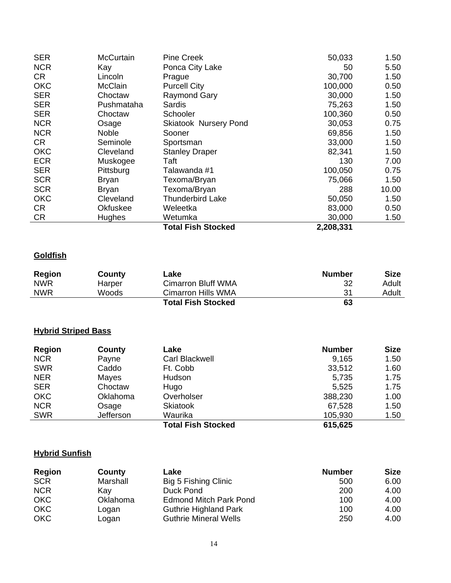| <b>SER</b> | McCurtain       | <b>Pine Creek</b>            | 50,033    | 1.50  |
|------------|-----------------|------------------------------|-----------|-------|
| <b>NCR</b> | Kay             | Ponca City Lake              | 50        | 5.50  |
| CR.        | Lincoln         | Prague                       | 30,700    | 1.50  |
| <b>OKC</b> | <b>McClain</b>  | <b>Purcell City</b>          | 100,000   | 0.50  |
| <b>SER</b> | Choctaw         | Raymond Gary                 | 30,000    | 1.50  |
| <b>SER</b> | Pushmataha      | Sardis                       | 75,263    | 1.50  |
| <b>SER</b> | Choctaw         | Schooler                     | 100,360   | 0.50  |
| <b>NCR</b> | Osage           | <b>Skiatook Nursery Pond</b> | 30,053    | 0.75  |
| <b>NCR</b> | Noble           | Sooner                       | 69,856    | 1.50  |
| CR         | Seminole        | Sportsman                    | 33,000    | 1.50  |
| <b>OKC</b> | Cleveland       | <b>Stanley Draper</b>        | 82,341    | 1.50  |
| <b>ECR</b> | Muskogee        | Taft                         | 130       | 7.00  |
| <b>SER</b> | Pittsburg       | Talawanda #1                 | 100,050   | 0.75  |
| <b>SCR</b> | Bryan           | Texoma/Bryan                 | 75,066    | 1.50  |
| <b>SCR</b> | Bryan           | Texoma/Bryan                 | 288       | 10.00 |
| <b>OKC</b> | Cleveland       | <b>Thunderbird Lake</b>      | 50,050    | 1.50  |
| CR         | <b>Okfuskee</b> | Weleetka                     | 83,000    | 0.50  |
| <b>CR</b>  | <b>Hughes</b>   | Wetumka                      | 30,000    | 1.50  |
|            |                 | <b>Total Fish Stocked</b>    | 2,208,331 |       |

#### **Goldfish**

| <b>Region</b> | County | Lake                      | Number | Size  |
|---------------|--------|---------------------------|--------|-------|
| <b>NWR</b>    | Harper | <b>Cimarron Bluff WMA</b> | 32     | Adult |
| <b>NWR</b>    | Woods  | Cimarron Hills WMA        | 31     | Adult |
|               |        | <b>Total Fish Stocked</b> | 63     |       |

#### **Hybrid Striped Bass**

| <b>Region</b> | County    | Lake                      | <b>Number</b> | <b>Size</b> |
|---------------|-----------|---------------------------|---------------|-------------|
| <b>NCR</b>    | Payne     | Carl Blackwell            | 9,165         | 1.50        |
| <b>SWR</b>    | Caddo     | Ft. Cobb                  | 33,512        | 1.60        |
| <b>NER</b>    | Mayes     | Hudson                    | 5,735         | 1.75        |
| <b>SER</b>    | Choctaw   | Hugo                      | 5,525         | 1.75        |
| <b>OKC</b>    | Oklahoma  | Overholser                | 388,230       | 1.00        |
| <b>NCR</b>    | Osage     | <b>Skiatook</b>           | 67,528        | 1.50        |
| <b>SWR</b>    | Jefferson | Waurika                   | 105,930       | 1.50        |
|               |           | <b>Total Fish Stocked</b> | 615,625       |             |

#### **Hybrid Sunfish**

| Region     | County   | Lake                          | <b>Number</b> | <b>Size</b> |
|------------|----------|-------------------------------|---------------|-------------|
| <b>SCR</b> | Marshall | Big 5 Fishing Clinic          | 500           | 6.00        |
| <b>NCR</b> | Kav      | Duck Pond                     | 200           | 4.00        |
| <b>OKC</b> | Oklahoma | <b>Edmond Mitch Park Pond</b> | 100           | 4.00        |
| <b>OKC</b> | Loɑan    | <b>Guthrie Highland Park</b>  | 100           | 4.00        |
| <b>OKC</b> | Logan    | <b>Guthrie Mineral Wells</b>  | 250           | 4.00        |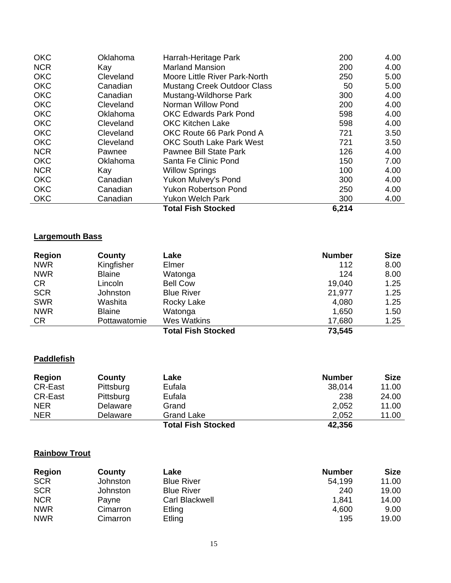| <b>OKC</b> | Oklahoma  | Harrah-Heritage Park               | 200   | 4.00 |
|------------|-----------|------------------------------------|-------|------|
| <b>NCR</b> | Kay       | <b>Marland Mansion</b>             | 200   | 4.00 |
| <b>OKC</b> | Cleveland | Moore Little River Park-North      | 250   | 5.00 |
| <b>OKC</b> | Canadian  | <b>Mustang Creek Outdoor Class</b> | 50    | 5.00 |
| <b>OKC</b> | Canadian  | Mustang-Wildhorse Park             | 300   | 4.00 |
| <b>OKC</b> | Cleveland | Norman Willow Pond                 | 200   | 4.00 |
| <b>OKC</b> | Oklahoma  | <b>OKC Edwards Park Pond</b>       | 598   | 4.00 |
| <b>OKC</b> | Cleveland | <b>OKC Kitchen Lake</b>            | 598   | 4.00 |
| <b>OKC</b> | Cleveland | OKC Route 66 Park Pond A           | 721   | 3.50 |
| <b>OKC</b> | Cleveland | <b>OKC South Lake Park West</b>    | 721   | 3.50 |
| <b>NCR</b> | Pawnee    | Pawnee Bill State Park             | 126   | 4.00 |
| <b>OKC</b> | Oklahoma  | Santa Fe Clinic Pond               | 150   | 7.00 |
| <b>NCR</b> | Kay       | <b>Willow Springs</b>              | 100   | 4.00 |
| <b>OKC</b> | Canadian  | Yukon Mulvey's Pond                | 300   | 4.00 |
| <b>OKC</b> | Canadian  | <b>Yukon Robertson Pond</b>        | 250   | 4.00 |
| <b>OKC</b> | Canadian  | <b>Yukon Welch Park</b>            | 300   | 4.00 |
|            |           | <b>Total Fish Stocked</b>          | 6,214 |      |

## **Largemouth Bass**

| <b>Region</b> | County        | Lake                      | <b>Number</b> | <b>Size</b> |
|---------------|---------------|---------------------------|---------------|-------------|
| <b>NWR</b>    | Kingfisher    | Elmer                     | 112           | 8.00        |
| <b>NWR</b>    | <b>Blaine</b> | Watonga                   | 124           | 8.00        |
| <b>CR</b>     | Lincoln       | <b>Bell Cow</b>           | 19,040        | 1.25        |
| <b>SCR</b>    | Johnston      | <b>Blue River</b>         | 21,977        | 1.25        |
| <b>SWR</b>    | Washita       | Rocky Lake                | 4,080         | 1.25        |
| <b>NWR</b>    | <b>Blaine</b> | Watonga                   | 1,650         | 1.50        |
| <b>CR</b>     | Pottawatomie  | <b>Wes Watkins</b>        | 17,680        | 1.25        |
|               |               | <b>Total Fish Stocked</b> | 73,545        |             |

# **Paddlefish**

| <b>Region</b>  | County    | Lake                      | <b>Number</b> | <b>Size</b> |
|----------------|-----------|---------------------------|---------------|-------------|
| <b>CR-East</b> | Pittsburg | Eufala                    | 38,014        | 11.00       |
| <b>CR-East</b> | Pittsburg | Eufala                    | 238           | 24.00       |
| <b>NER</b>     | Delaware  | Grand                     | 2,052         | 11.00       |
| <b>NER</b>     | Delaware  | Grand Lake                | 2,052         | 11.00       |
|                |           | <b>Total Fish Stocked</b> | 42,356        |             |

## **Rainbow Trout**

| <b>Region</b> | County   | Lake              | <b>Number</b> | <b>Size</b> |
|---------------|----------|-------------------|---------------|-------------|
| <b>SCR</b>    | Johnston | <b>Blue River</b> | 54,199        | 11.00       |
| <b>SCR</b>    | Johnston | <b>Blue River</b> | 240           | 19.00       |
| <b>NCR</b>    | Payne    | Carl Blackwell    | 1,841         | 14.00       |
| <b>NWR</b>    | Cimarron | Etling            | 4,600         | 9.00        |
| <b>NWR</b>    | Cimarron | Etling            | 195           | 19.00       |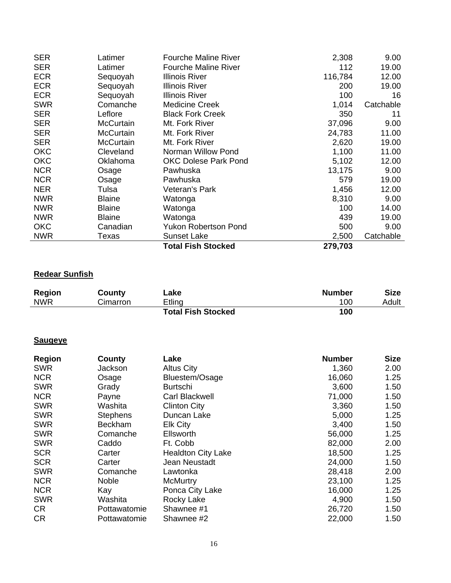| <b>SER</b> | Latimer          | <b>Fourche Maline River</b> | 2,308   | 9.00      |
|------------|------------------|-----------------------------|---------|-----------|
| <b>SER</b> | Latimer          | <b>Fourche Maline River</b> | 112     | 19.00     |
| <b>ECR</b> | Sequoyah         | <b>Illinois River</b>       | 116,784 | 12.00     |
| <b>ECR</b> | Sequoyah         | <b>Illinois River</b>       | 200     | 19.00     |
| <b>ECR</b> | Sequoyah         | <b>Illinois River</b>       | 100     | 16        |
| <b>SWR</b> | Comanche         | Medicine Creek              | 1,014   | Catchable |
| <b>SER</b> | Leflore          | <b>Black Fork Creek</b>     | 350     | 11        |
| <b>SER</b> | <b>McCurtain</b> | Mt. Fork River              | 37,096  | 9.00      |
| <b>SER</b> | <b>McCurtain</b> | Mt. Fork River              | 24,783  | 11.00     |
| <b>SER</b> | <b>McCurtain</b> | Mt. Fork River              | 2,620   | 19.00     |
| <b>OKC</b> | Cleveland        | Norman Willow Pond          | 1,100   | 11.00     |
| <b>OKC</b> | Oklahoma         | <b>OKC Dolese Park Pond</b> | 5,102   | 12.00     |
| <b>NCR</b> | Osage            | Pawhuska                    | 13,175  | 9.00      |
| <b>NCR</b> | Osage            | Pawhuska                    | 579     | 19.00     |
| <b>NER</b> | Tulsa            | Veteran's Park              | 1,456   | 12.00     |
| <b>NWR</b> | <b>Blaine</b>    | Watonga                     | 8,310   | 9.00      |
| <b>NWR</b> | <b>Blaine</b>    | Watonga                     | 100     | 14.00     |
| <b>NWR</b> | <b>Blaine</b>    | Watonga                     | 439     | 19.00     |
| <b>OKC</b> | Canadian         | <b>Yukon Robertson Pond</b> | 500     | 9.00      |
| <b>NWR</b> | Texas            | <b>Sunset Lake</b>          | 2,500   | Catchable |
|            |                  | <b>Total Fish Stocked</b>   | 279,703 |           |

# **Redear Sunfish**

| Region     | County   | Lake                      | Number | <b>Size</b> |
|------------|----------|---------------------------|--------|-------------|
| <b>NWR</b> | Cimarron | Etling                    | 100    | Adult       |
|            |          | <b>Total Fish Stocked</b> | 100    |             |

#### **Saugeye**

| <b>Region</b> | County          | Lake                      | <b>Number</b> | <b>Size</b> |
|---------------|-----------------|---------------------------|---------------|-------------|
| <b>SWR</b>    | Jackson         | <b>Altus City</b>         | 1,360         | 2.00        |
| <b>NCR</b>    | Osage           | Bluestem/Osage            | 16,060        | 1.25        |
| <b>SWR</b>    | Grady           | <b>Burtschi</b>           | 3,600         | 1.50        |
| <b>NCR</b>    | Payne           | Carl Blackwell            | 71,000        | 1.50        |
| <b>SWR</b>    | Washita         | <b>Clinton City</b>       | 3,360         | 1.50        |
| <b>SWR</b>    | <b>Stephens</b> | Duncan Lake               | 5,000         | 1.25        |
| <b>SWR</b>    | <b>Beckham</b>  | <b>Elk City</b>           | 3,400         | 1.50        |
| <b>SWR</b>    | Comanche        | Ellsworth                 | 56,000        | 1.25        |
| <b>SWR</b>    | Caddo           | Ft. Cobb                  | 82,000        | 2.00        |
| <b>SCR</b>    | Carter          | <b>Healdton City Lake</b> | 18,500        | 1.25        |
| <b>SCR</b>    | Carter          | Jean Neustadt             | 24,000        | 1.50        |
| <b>SWR</b>    | Comanche        | Lawtonka                  | 28,418        | 2.00        |
| <b>NCR</b>    | <b>Noble</b>    | <b>McMurtry</b>           | 23,100        | 1.25        |
| <b>NCR</b>    | Kay             | Ponca City Lake           | 16,000        | 1.25        |
| <b>SWR</b>    | Washita         | Rocky Lake                | 4,900         | 1.50        |
| <b>CR</b>     | Pottawatomie    | Shawnee #1                | 26,720        | 1.50        |
| <b>CR</b>     | Pottawatomie    | Shawnee #2                | 22,000        | 1.50        |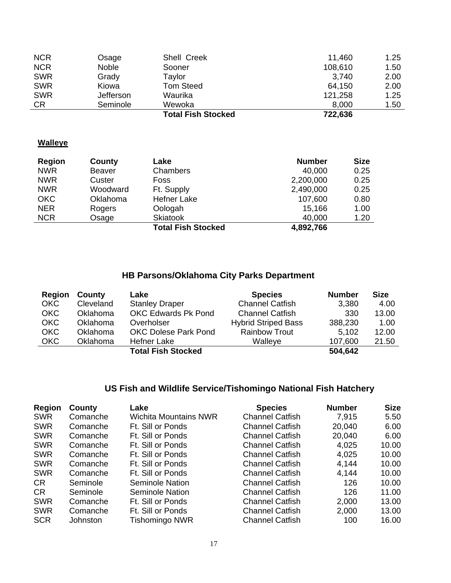|            |              | <b>Total Fish Stocked</b> | 722,636 |      |
|------------|--------------|---------------------------|---------|------|
| <b>CR</b>  | Seminole     | Wewoka                    | 8,000   | 1.50 |
| <b>SWR</b> | Jefferson    | Waurika                   | 121,258 | 1.25 |
| <b>SWR</b> | Kiowa        | <b>Tom Steed</b>          | 64,150  | 2.00 |
| <b>SWR</b> | Grady        | Taylor                    | 3,740   | 2.00 |
| <b>NCR</b> | <b>Noble</b> | Sooner                    | 108,610 | 1.50 |
| <b>NCR</b> | Osage        | Shell Creek               | 11,460  | 1.25 |

# **Walleye**

| Region     | County   | Lake                      | <b>Number</b> | <b>Size</b> |
|------------|----------|---------------------------|---------------|-------------|
| <b>NWR</b> | Beaver   | Chambers                  | 40,000        | 0.25        |
| <b>NWR</b> | Custer   | Foss                      | 2,200,000     | 0.25        |
| <b>NWR</b> | Woodward | Ft. Supply                | 2,490,000     | 0.25        |
| <b>OKC</b> | Oklahoma | <b>Hefner Lake</b>        | 107,600       | 0.80        |
| <b>NER</b> | Rogers   | Oologah                   | 15,166        | 1.00        |
| <b>NCR</b> | Osage    | <b>Skiatook</b>           | 40,000        | 1.20        |
|            |          | <b>Total Fish Stocked</b> | 4,892,766     |             |

# **HB Parsons/Oklahoma City Parks Department**

| Region     | County    | Lake                        | <b>Species</b>             | <b>Number</b> | <b>Size</b> |
|------------|-----------|-----------------------------|----------------------------|---------------|-------------|
| <b>OKC</b> | Cleveland | <b>Stanley Draper</b>       | <b>Channel Catfish</b>     | 3,380         | 4.00        |
| <b>OKC</b> | Oklahoma  | OKC Edwards Pk Pond         | <b>Channel Catfish</b>     | 330           | 13.00       |
| <b>OKC</b> | Oklahoma  | Overholser                  | <b>Hybrid Striped Bass</b> | 388,230       | 1.00        |
| <b>OKC</b> | Oklahoma  | <b>OKC Dolese Park Pond</b> | <b>Rainbow Trout</b>       | 5,102         | 12.00       |
| <b>OKC</b> | Oklahoma  | Hefner Lake                 | Walleye                    | 107,600       | 21.50       |
|            |           | <b>Total Fish Stocked</b>   |                            | 504,642       |             |

# **US Fish and Wildlife Service/Tishomingo National Fish Hatchery**

| <b>Region</b> | County   | Lake                         | <b>Species</b>         | <b>Number</b> | <b>Size</b> |
|---------------|----------|------------------------------|------------------------|---------------|-------------|
| <b>SWR</b>    | Comanche | <b>Wichita Mountains NWR</b> | <b>Channel Catfish</b> | 7,915         | 5.50        |
| <b>SWR</b>    | Comanche | Ft. Sill or Ponds            | <b>Channel Catfish</b> | 20,040        | 6.00        |
| <b>SWR</b>    | Comanche | Ft. Sill or Ponds            | <b>Channel Catfish</b> | 20,040        | 6.00        |
| <b>SWR</b>    | Comanche | Ft. Sill or Ponds            | <b>Channel Catfish</b> | 4,025         | 10.00       |
| <b>SWR</b>    | Comanche | Ft. Sill or Ponds            | <b>Channel Catfish</b> | 4,025         | 10.00       |
| <b>SWR</b>    | Comanche | Ft. Sill or Ponds            | <b>Channel Catfish</b> | 4,144         | 10.00       |
| <b>SWR</b>    | Comanche | Ft. Sill or Ponds            | <b>Channel Catfish</b> | 4,144         | 10.00       |
| CR.           | Seminole | Seminole Nation              | <b>Channel Catfish</b> | 126           | 10.00       |
| CR.           | Seminole | Seminole Nation              | <b>Channel Catfish</b> | 126           | 11.00       |
| <b>SWR</b>    | Comanche | Ft. Sill or Ponds            | <b>Channel Catfish</b> | 2,000         | 13.00       |
| <b>SWR</b>    | Comanche | Ft. Sill or Ponds            | <b>Channel Catfish</b> | 2,000         | 13.00       |
| <b>SCR</b>    | Johnston | Tishomingo NWR               | <b>Channel Catfish</b> | 100           | 16.00       |